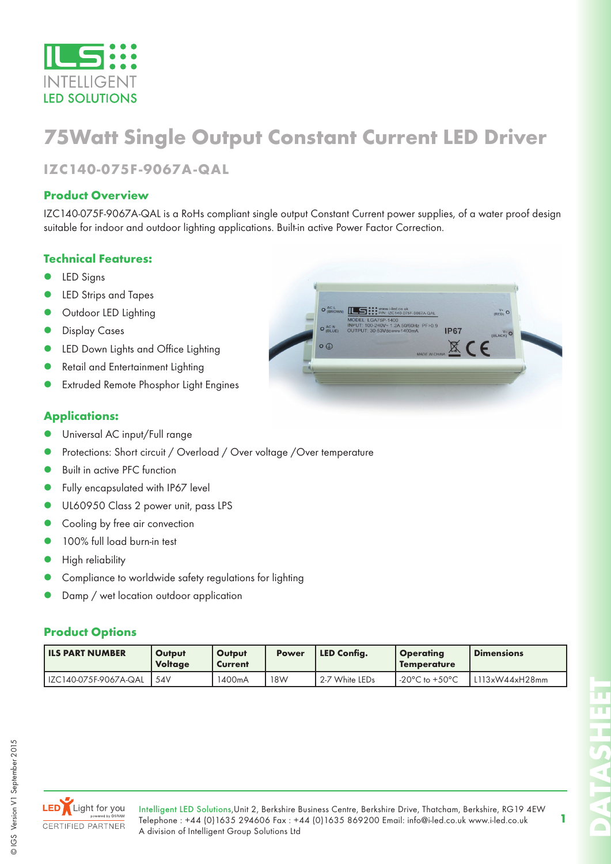

# **75Watt Single Output Constant Current LED Driver**

## **IZC140-075F-9067A-QAL**

#### **Product Overview**

IZC140-075F-9067A-QAL is a RoHs compliant single output Constant Current power supplies, of a water proof design suitable for indoor and outdoor lighting applications. Built-in active Power Factor Correction.

### **Technical Features:**

- LED Signs
- LED Strips and Tapes
- Outdoor LED Lighting
- Display Cases
- LED Down Lights and Office Lighting
- Retail and Entertainment Lighting
- Extruded Remote Phosphor Light Engines

#### **Applications:**

- Universal AC input/Full range
- Protections: Short circuit / Overload / Over voltage /Over temperature
- Built in active PFC function
- Fully encapsulated with IP67 level
- UL60950 Class 2 power unit, pass LPS
- Cooling by free air convection
- 100% full load burn-in test
- High reliability
- Compliance to worldwide safety regulations for lighting
- Damp / wet location outdoor application

#### **Product Options**

| <b>ILS PART NUMBER</b> | Output<br><b>Voltage</b> | Output<br>Current | <b>Power</b> | LED Confia.    | <b>Operating</b><br><b>Temperature</b> | <b>Dimensions</b> |
|------------------------|--------------------------|-------------------|--------------|----------------|----------------------------------------|-------------------|
| IZC140-075F-9067A-QAL  | 54V                      | 1400mA            | 18W          | 2-7 White LEDs | $-20^{\circ}$ C to $+50^{\circ}$ C     | L113xW44xH28mm    |

 $\overline{\circ}$ 



Intelligent LED Solutions,Unit 2, Berkshire Business Centre, Berkshire Drive, Thatcham, Berkshire, RG19 4EW Telephone : +44 (0)1635 294606 Fax : +44 (0)1635 869200 Email: info@i-led.co.uk www.i-led.co.uk A division of Intelligent Group Solutions Ltd

**1**

**DATASHEET**

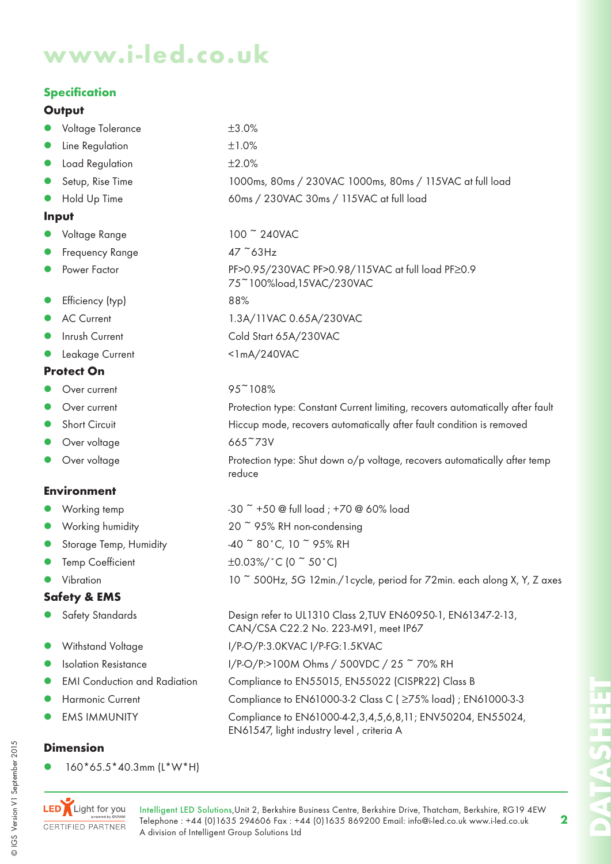# **www.i-led.co.uk**

## **Specification**

#### **Output**

| • Voltage Tolerance | $±3.0\%$                                                 |
|---------------------|----------------------------------------------------------|
| • Line Regulation   | ±1.0%                                                    |
| • Load Regulation   | ±2.0%                                                    |
| • Setup, Rise Time  | 1000ms, 80ms / 230VAC 1000ms, 80ms / 115VAC at full load |
| • Hold Up Time      | 60ms / 230VAC 30ms / 115VAC at full load                 |
|                     |                                                          |

75~100%load,15VAC/230VAC

reduce

#### **Input**

- Voltage Range 100 ~ 240VAC
- Frequency Range 47 ~63Hz
- Power Factor PF>0.95/230VAC PF>0.98/115VAC at full load PF≥0.9
- Efficiency (typ) 88%
- AC Current 1.3A/11VAC 0.65A/230VAC
- Inrush Current Cold Start 65A/230VAC
- Leakage Current <1mA/240VAC

#### **Protect On**

- Over current  $95<sup>2</sup>108%$
- Over current **Exercice Protection type: Constant Current limiting, recovers automatically after fault**
- Short Circuit **Hiccup mode, recovers automatically after fault condition is removed**
- Over voltage 665~73V
- Over voltage **Protection type:** Shut down o/p voltage, recovers automatically after temp

### **Environment**

- Working temp  $-30$   $-50$  @ full load ;  $+70$  @ 60% load
- Working humidity  $20 \times 95\%$  RH non-condensing
- Storage Temp, Humidity  $-40$   $\degree$  80 $\degree$ C, 10  $\degree$  95% RH
- $Temp Coefficient$   $\pm 0.03\%/^{\circ}C$  (0  $\degree$  50  $^{\circ}C$ )
- Vibration 10  $\degree$  500Hz, 5G 12min./1cycle, period for 72min. each along X, Y, Z axes

## **Safety & EMS**

- z Safety Standards Design refer to UL1310 Class 2,TUV EN60950-1, EN61347-2-13,
- z Withstand Voltage I/P-O/P:3.0KVAC I/P-FG:1.5KVAC
- Isolation Resistance I/P-O/P:>100M Ohms / 500VDC / 25 ~ 70% RH
- EMI Conduction and Radiation Compliance to EN55015, EN55022 (CISPR22) Class B
- Harmonic Current Compliance to EN61000-3-2 Class C (≥75% load) ; EN61000-3-3
- EMS IMMUNITY Compliance to EN61000-4-2,3,4,5,6,8,11; ENV50204, EN55024,

### **Dimension**

z 160\*65.5\*40.3mm (L\*W\*H)



CAN/CSA C22.2 No. 223-M91, meet IP67

EN61547, light industry level , criteria A

| ۹ |
|---|